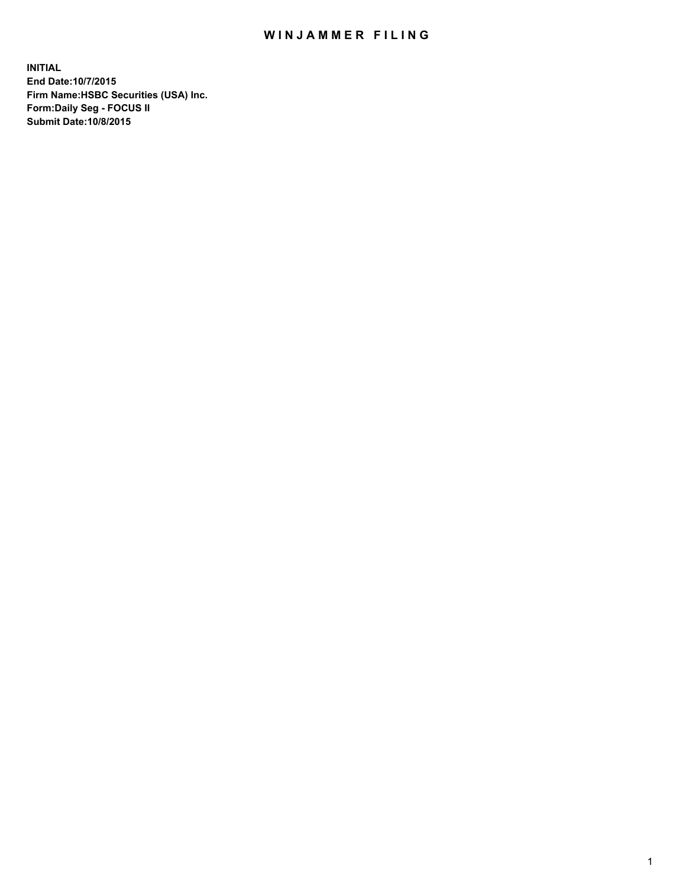## WIN JAMMER FILING

**INITIAL End Date:10/7/2015 Firm Name:HSBC Securities (USA) Inc. Form:Daily Seg - FOCUS II Submit Date:10/8/2015**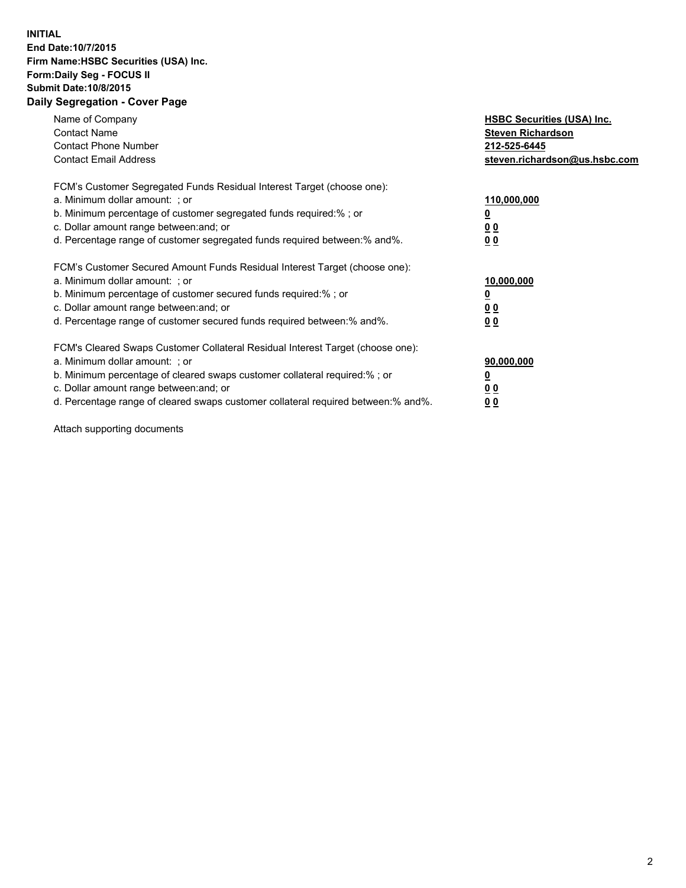## **INITIAL End Date:10/7/2015 Firm Name:HSBC Securities (USA) Inc. Form:Daily Seg - FOCUS II Submit Date:10/8/2015 Daily Segregation - Cover Page**

| Name of Company<br><b>Contact Name</b><br><b>Contact Phone Number</b><br><b>Contact Email Address</b>                                                                                                                                                                                                                         | <b>HSBC Securities (USA) Inc.</b><br><b>Steven Richardson</b><br>212-525-6445<br>steven.richardson@us.hsbc.com |
|-------------------------------------------------------------------------------------------------------------------------------------------------------------------------------------------------------------------------------------------------------------------------------------------------------------------------------|----------------------------------------------------------------------------------------------------------------|
| FCM's Customer Segregated Funds Residual Interest Target (choose one):<br>a. Minimum dollar amount: ; or<br>b. Minimum percentage of customer segregated funds required:%; or<br>c. Dollar amount range between: and; or<br>d. Percentage range of customer segregated funds required between:% and%.                         | 110,000,000<br>0 <sub>0</sub><br>0 <sub>0</sub>                                                                |
| FCM's Customer Secured Amount Funds Residual Interest Target (choose one):<br>a. Minimum dollar amount: ; or<br>b. Minimum percentage of customer secured funds required:%; or<br>c. Dollar amount range between: and; or<br>d. Percentage range of customer secured funds required between:% and%.                           | 10,000,000<br>0 <sub>0</sub><br>00                                                                             |
| FCM's Cleared Swaps Customer Collateral Residual Interest Target (choose one):<br>a. Minimum dollar amount: ; or<br>b. Minimum percentage of cleared swaps customer collateral required:%; or<br>c. Dollar amount range between: and; or<br>d. Percentage range of cleared swaps customer collateral required between:% and%. | 90,000,000<br><u>00</u><br><u>00</u>                                                                           |

Attach supporting documents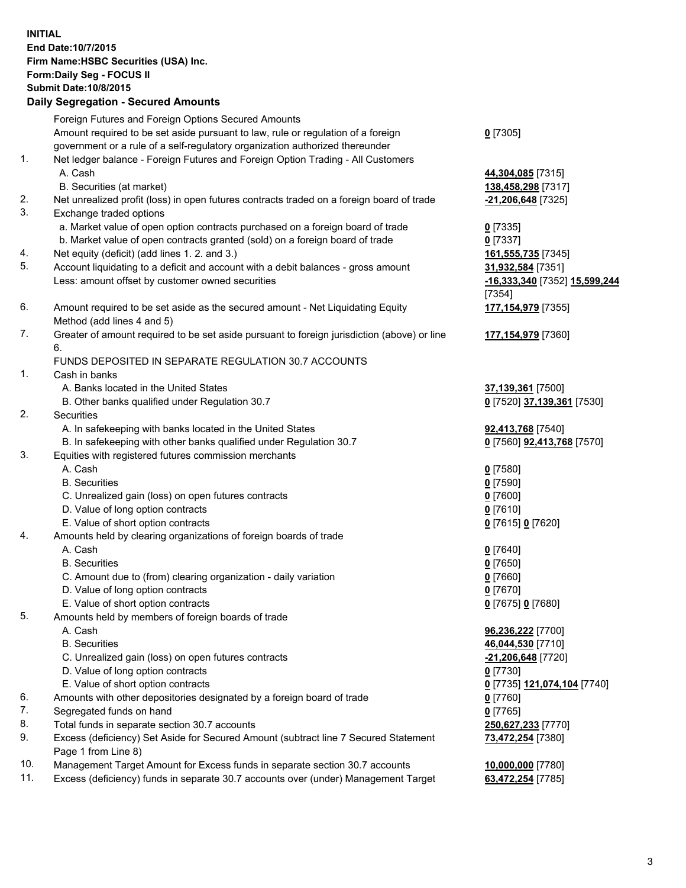**INITIAL End Date:10/7/2015 Firm Name:HSBC Securities (USA) Inc. Form:Daily Seg - FOCUS II Submit Date:10/8/2015 Daily Segregation - Secured Amounts** Foreign Futures and Foreign Options Secured Amounts Amount required to be set aside pursuant to law, rule or regulation of a foreign government or a rule of a self-regulatory organization authorized thereunder **0** [7305] 1. Net ledger balance - Foreign Futures and Foreign Option Trading - All Customers A. Cash **44,304,085** [7315] B. Securities (at market) **138,458,298** [7317] 2. Net unrealized profit (loss) in open futures contracts traded on a foreign board of trade **-21,206,648** [7325] 3. Exchange traded options a. Market value of open option contracts purchased on a foreign board of trade **0** [7335] b. Market value of open contracts granted (sold) on a foreign board of trade **0** [7337] 4. Net equity (deficit) (add lines 1. 2. and 3.) **161,555,735** [7345] 5. Account liquidating to a deficit and account with a debit balances - gross amount **31,932,584** [7351] Less: amount offset by customer owned securities **-16,333,340** [7352] **15,599,244** [7354] 6. Amount required to be set aside as the secured amount - Net Liquidating Equity Method (add lines 4 and 5) **177,154,979** [7355] 7. Greater of amount required to be set aside pursuant to foreign jurisdiction (above) or line 6. **177,154,979** [7360] FUNDS DEPOSITED IN SEPARATE REGULATION 30.7 ACCOUNTS 1. Cash in banks A. Banks located in the United States **37,139,361** [7500] B. Other banks qualified under Regulation 30.7 **0** [7520] **37,139,361** [7530] 2. Securities A. In safekeeping with banks located in the United States **92,413,768** [7540] B. In safekeeping with other banks qualified under Regulation 30.7 **0** [7560] **92,413,768** [7570] 3. Equities with registered futures commission merchants A. Cash **0** [7580] B. Securities **0** [7590] C. Unrealized gain (loss) on open futures contracts **0** [7600] D. Value of long option contracts **0** [7610] E. Value of short option contracts **0** [7615] **0** [7620] 4. Amounts held by clearing organizations of foreign boards of trade A. Cash **0** [7640] B. Securities **0** [7650] C. Amount due to (from) clearing organization - daily variation **0** [7660] D. Value of long option contracts **0** [7670] E. Value of short option contracts **0** [7675] **0** [7680] 5. Amounts held by members of foreign boards of trade A. Cash **96,236,222** [7700] B. Securities **46,044,530** [7710] C. Unrealized gain (loss) on open futures contracts **-21,206,648** [7720] D. Value of long option contracts **0** [7730] E. Value of short option contracts **0** [7735] **121,074,104** [7740] 6. Amounts with other depositories designated by a foreign board of trade **0** [7760] 7. Segregated funds on hand **0** [7765] 8. Total funds in separate section 30.7 accounts **250,627,233** [7770] 9. Excess (deficiency) Set Aside for Secured Amount (subtract line 7 Secured Statement Page 1 from Line 8) **73,472,254** [7380] 10. Management Target Amount for Excess funds in separate section 30.7 accounts **10,000,000** [7780]

11. Excess (deficiency) funds in separate 30.7 accounts over (under) Management Target **63,472,254** [7785]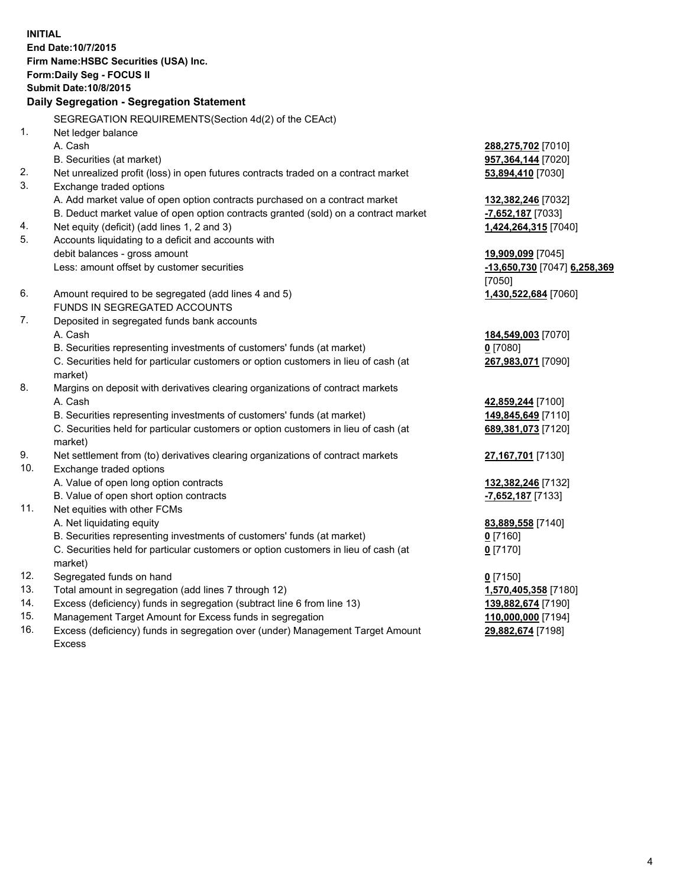| <b>INITIAL</b>                            |                                                                                     |                                        |  |  |  |
|-------------------------------------------|-------------------------------------------------------------------------------------|----------------------------------------|--|--|--|
| End Date: 10/7/2015                       |                                                                                     |                                        |  |  |  |
| Firm Name: HSBC Securities (USA) Inc.     |                                                                                     |                                        |  |  |  |
| Form: Daily Seg - FOCUS II                |                                                                                     |                                        |  |  |  |
| <b>Submit Date: 10/8/2015</b>             |                                                                                     |                                        |  |  |  |
| Daily Segregation - Segregation Statement |                                                                                     |                                        |  |  |  |
|                                           |                                                                                     |                                        |  |  |  |
|                                           | SEGREGATION REQUIREMENTS(Section 4d(2) of the CEAct)                                |                                        |  |  |  |
| 1 <sub>1</sub>                            | Net ledger balance                                                                  |                                        |  |  |  |
|                                           | A. Cash                                                                             | 288,275,702 [7010]                     |  |  |  |
|                                           | B. Securities (at market)                                                           | 957,364,144 [7020]                     |  |  |  |
| 2.                                        | Net unrealized profit (loss) in open futures contracts traded on a contract market  | 53,894,410 [7030]                      |  |  |  |
| 3.                                        | Exchange traded options                                                             |                                        |  |  |  |
|                                           | A. Add market value of open option contracts purchased on a contract market         | 132,382,246 [7032]                     |  |  |  |
|                                           | B. Deduct market value of open option contracts granted (sold) on a contract market | -7,652,187 [7033]                      |  |  |  |
| 4.<br>5.                                  | Net equity (deficit) (add lines 1, 2 and 3)                                         | 1,424,264,315 [7040]                   |  |  |  |
|                                           | Accounts liquidating to a deficit and accounts with                                 |                                        |  |  |  |
|                                           | debit balances - gross amount<br>Less: amount offset by customer securities         | 19,909,099 [7045]                      |  |  |  |
|                                           |                                                                                     | -13,650,730 [7047] 6,258,369<br>[7050] |  |  |  |
| 6.                                        | Amount required to be segregated (add lines 4 and 5)                                | 1,430,522,684 [7060]                   |  |  |  |
|                                           | FUNDS IN SEGREGATED ACCOUNTS                                                        |                                        |  |  |  |
| 7.                                        | Deposited in segregated funds bank accounts                                         |                                        |  |  |  |
|                                           | A. Cash                                                                             | 184,549,003 [7070]                     |  |  |  |
|                                           | B. Securities representing investments of customers' funds (at market)              | $0$ [7080]                             |  |  |  |
|                                           | C. Securities held for particular customers or option customers in lieu of cash (at | 267,983,071 [7090]                     |  |  |  |
|                                           | market)                                                                             |                                        |  |  |  |
| 8.                                        | Margins on deposit with derivatives clearing organizations of contract markets      |                                        |  |  |  |
|                                           | A. Cash                                                                             | 42,859,244 [7100]                      |  |  |  |
|                                           | B. Securities representing investments of customers' funds (at market)              | 149,845,649 [7110]                     |  |  |  |
|                                           | C. Securities held for particular customers or option customers in lieu of cash (at | 689,381,073 [7120]                     |  |  |  |
|                                           | market)                                                                             |                                        |  |  |  |
| 9.                                        | Net settlement from (to) derivatives clearing organizations of contract markets     | 27,167,701 [7130]                      |  |  |  |
| 10.                                       | Exchange traded options                                                             |                                        |  |  |  |
|                                           | A. Value of open long option contracts                                              | 132,382,246 [7132]                     |  |  |  |
|                                           | B. Value of open short option contracts                                             | -7,652,187 [7133]                      |  |  |  |
| 11.                                       | Net equities with other FCMs                                                        |                                        |  |  |  |
|                                           | A. Net liquidating equity                                                           | 83,889,558 [7140]                      |  |  |  |
|                                           | B. Securities representing investments of customers' funds (at market)              | $0$ [7160]                             |  |  |  |
|                                           | C. Securities held for particular customers or option customers in lieu of cash (at | $0$ [7170]                             |  |  |  |
|                                           | market)                                                                             |                                        |  |  |  |
| 12.                                       | Segregated funds on hand                                                            | $0$ [7150]                             |  |  |  |
| 13.                                       | Total amount in segregation (add lines 7 through 12)                                | 1,570,405,358 [7180]                   |  |  |  |
| 14.                                       | Excess (deficiency) funds in segregation (subtract line 6 from line 13)             | 139,882,674 [7190]                     |  |  |  |
| 15.                                       | Management Target Amount for Excess funds in segregation                            | 110,000,000 [7194]                     |  |  |  |
| 16.                                       | Excess (deficiency) funds in segregation over (under) Management Target Amount      | 29,882,674 [7198]                      |  |  |  |

16. Excess (deficiency) funds in segregation over (under) Management Target Amount Excess